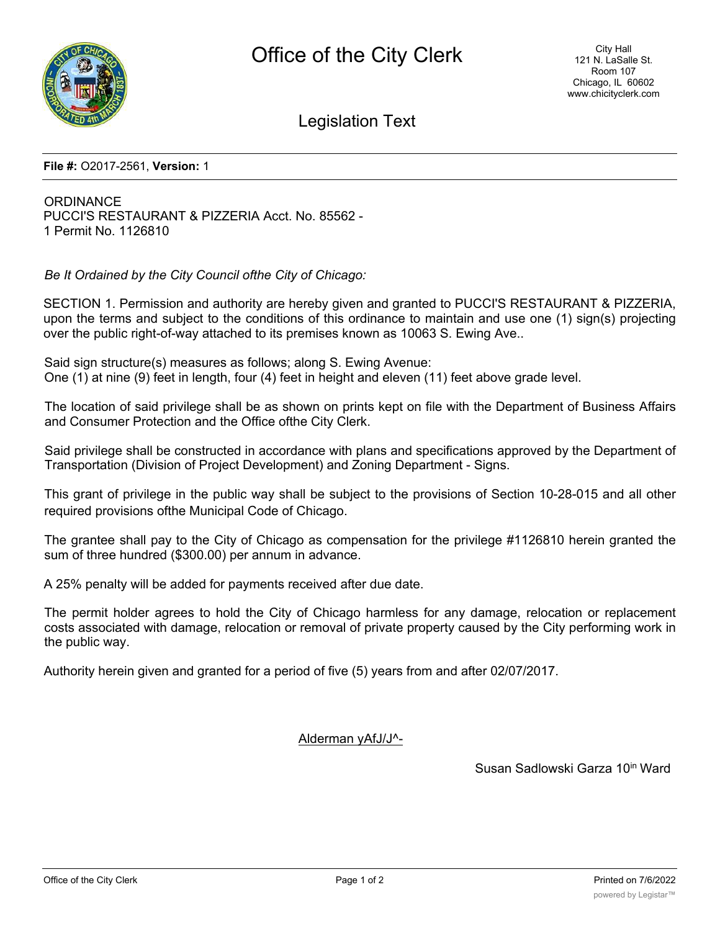

Legislation Text

## **File #:** O2017-2561, **Version:** 1

**ORDINANCE** PUCCI'S RESTAURANT & PIZZERIA Acct. No. 85562 - 1 Permit No. 1126810

*Be It Ordained by the City Council ofthe City of Chicago:*

SECTION 1. Permission and authority are hereby given and granted to PUCCI'S RESTAURANT & PIZZERIA, upon the terms and subject to the conditions of this ordinance to maintain and use one (1) sign(s) projecting over the public right-of-way attached to its premises known as 10063 S. Ewing Ave..

Said sign structure(s) measures as follows; along S. Ewing Avenue: One (1) at nine (9) feet in length, four (4) feet in height and eleven (11) feet above grade level.

The location of said privilege shall be as shown on prints kept on file with the Department of Business Affairs and Consumer Protection and the Office ofthe City Clerk.

Said privilege shall be constructed in accordance with plans and specifications approved by the Department of Transportation (Division of Project Development) and Zoning Department - Signs.

This grant of privilege in the public way shall be subject to the provisions of Section 10-28-015 and all other required provisions ofthe Municipal Code of Chicago.

The grantee shall pay to the City of Chicago as compensation for the privilege #1126810 herein granted the sum of three hundred (\$300.00) per annum in advance.

A 25% penalty will be added for payments received after due date.

The permit holder agrees to hold the City of Chicago harmless for any damage, relocation or replacement costs associated with damage, relocation or removal of private property caused by the City performing work in the public way.

Authority herein given and granted for a period of five (5) years from and after 02/07/2017.

Alderman yAfJ/J^-

Susan Sadlowski Garza 10<sup>in</sup> Ward